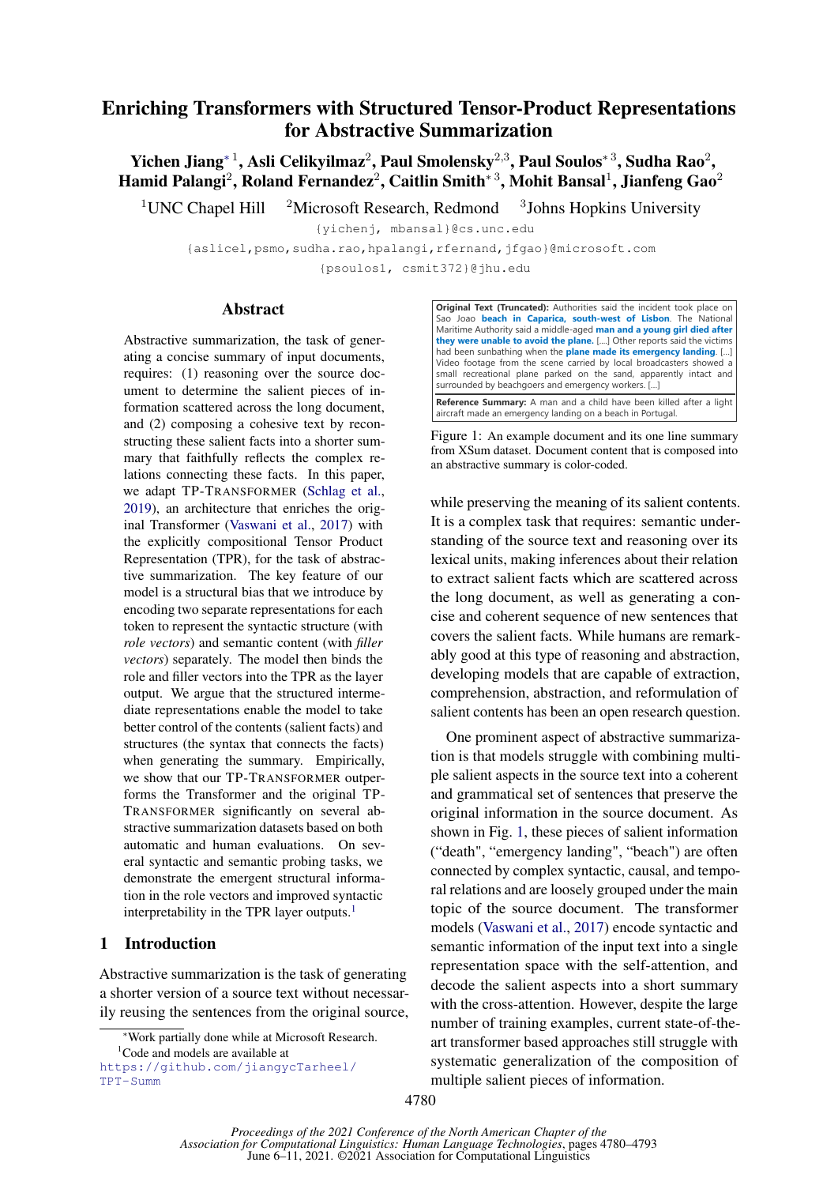# Enriching Transformers with Structured Tensor-Product Representations for Abstractive Summarization

Yichen Jiang\* $^1$ , Asli Celikyilmaz $^2$ , Paul Smolensky $^{2,3}$ , Paul Soulos\* $^3$ , Sudha Rao $^2$ , Hamid Palangi $^2$ , Roland Fernandez $^2$ , Caitlin Smith $^{\ast\,3}$ , Mohit Bansal $^1$ , Jianfeng Gao $^2$ 

<sup>1</sup> UNC Chapel Hill  $\frac{2 \text{Microsoft Research}}{3}$ , Redmond  $\frac{3 \text{ Johns Hopkins University}}{3}$ 

{yichenj, mbansal}@cs.unc.edu

{aslicel,psmo,sudha.rao,hpalangi,rfernand,jfgao}@microsoft.com

{psoulos1, csmit372}@jhu.edu

### Abstract

Abstractive summarization, the task of generating a concise summary of input documents, requires: (1) reasoning over the source document to determine the salient pieces of information scattered across the long document, and (2) composing a cohesive text by reconstructing these salient facts into a shorter summary that faithfully reflects the complex relations connecting these facts. In this paper, we adapt TP-TRANSFORMER [\(Schlag et al.,](#page-10-0) [2019\)](#page-10-0), an architecture that enriches the original Transformer [\(Vaswani et al.,](#page-11-0) [2017\)](#page-11-0) with the explicitly compositional Tensor Product Representation (TPR), for the task of abstractive summarization. The key feature of our model is a structural bias that we introduce by encoding two separate representations for each token to represent the syntactic structure (with *role vectors*) and semantic content (with *filler vectors*) separately. The model then binds the role and filler vectors into the TPR as the layer output. We argue that the structured intermediate representations enable the model to take better control of the contents (salient facts) and structures (the syntax that connects the facts) when generating the summary. Empirically, we show that our TP-TRANSFORMER outperforms the Transformer and the original TP-TRANSFORMER significantly on several abstractive summarization datasets based on both automatic and human evaluations. On several syntactic and semantic probing tasks, we demonstrate the emergent structural information in the role vectors and improved syntactic interpretability in the TPR layer outputs.<sup>[1](#page-0-0)</sup>

## 1 Introduction

Abstractive summarization is the task of generating a shorter version of a source text without necessarily reusing the sentences from the original source, <span id="page-0-1"></span>**Original Text (Truncated):** Authorities said the incident took place on Sao Joao **beach in Caparica, south-west of Lisbon**. The National Maritime Authority said a middle-aged **man and a young girl died after they were unable to avoid the plane.** [....] Other reports said the victims had been sunbathing when the **plane made its emergency landing**. […] Video footage from the scene carried by local broadcasters showed a small recreational plane parked on the sand, apparently intact and surrounded by beachgoers and emergency workers. […]

**Reference Summary:** A man and a child have been killed after a light aircraft made an emergency landing on a beach in Portugal.

Figure 1: An example document and its one line summary from XSum dataset. Document content that is composed into an abstractive summary is color-coded.

while preserving the meaning of its salient contents. It is a complex task that requires: semantic understanding of the source text and reasoning over its lexical units, making inferences about their relation to extract salient facts which are scattered across the long document, as well as generating a concise and coherent sequence of new sentences that covers the salient facts. While humans are remarkably good at this type of reasoning and abstraction, developing models that are capable of extraction, comprehension, abstraction, and reformulation of salient contents has been an open research question.

One prominent aspect of abstractive summarization is that models struggle with combining multiple salient aspects in the source text into a coherent and grammatical set of sentences that preserve the original information in the source document. As shown in Fig. [1,](#page-0-1) these pieces of salient information ("death", "emergency landing", "beach") are often connected by complex syntactic, causal, and temporal relations and are loosely grouped under the main topic of the source document. The transformer models [\(Vaswani et al.,](#page-11-0) [2017\)](#page-11-0) encode syntactic and semantic information of the input text into a single representation space with the self-attention, and decode the salient aspects into a short summary with the cross-attention. However, despite the large number of training examples, current state-of-theart transformer based approaches still struggle with systematic generalization of the composition of multiple salient pieces of information.

<sup>∗</sup>Work partially done while at Microsoft Research.

<span id="page-0-0"></span><sup>&</sup>lt;sup>1</sup>Code and models are available at

[https://github.com/jiangycTarheel/](https://github.com/jiangycTarheel/TPT-Summ) [TPT-Summ](https://github.com/jiangycTarheel/TPT-Summ)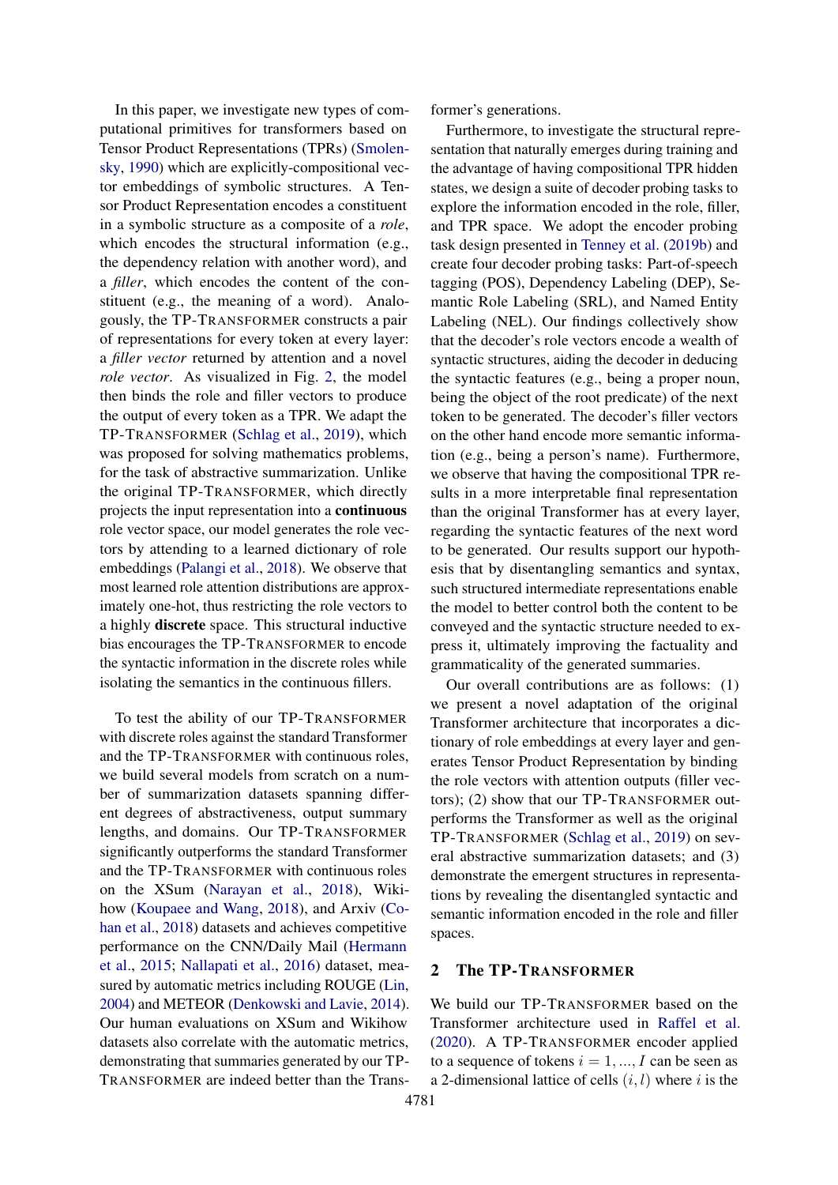In this paper, we investigate new types of computational primitives for transformers based on Tensor Product Representations (TPRs) [\(Smolen](#page-11-1)[sky,](#page-11-1) [1990\)](#page-11-1) which are explicitly-compositional vector embeddings of symbolic structures. A Tensor Product Representation encodes a constituent in a symbolic structure as a composite of a *role*, which encodes the structural information (e.g., the dependency relation with another word), and a *filler*, which encodes the content of the constituent (e.g., the meaning of a word). Analogously, the TP-TRANSFORMER constructs a pair of representations for every token at every layer: a *filler vector* returned by attention and a novel *role vector*. As visualized in Fig. [2,](#page-2-0) the model then binds the role and filler vectors to produce the output of every token as a TPR. We adapt the TP-TRANSFORMER [\(Schlag et al.,](#page-10-0) [2019\)](#page-10-0), which was proposed for solving mathematics problems, for the task of abstractive summarization. Unlike the original TP-TRANSFORMER, which directly projects the input representation into a continuous role vector space, our model generates the role vectors by attending to a learned dictionary of role embeddings [\(Palangi et al.,](#page-10-1) [2018\)](#page-10-1). We observe that most learned role attention distributions are approximately one-hot, thus restricting the role vectors to a highly discrete space. This structural inductive bias encourages the TP-TRANSFORMER to encode the syntactic information in the discrete roles while isolating the semantics in the continuous fillers.

To test the ability of our TP-TRANSFORMER with discrete roles against the standard Transformer and the TP-TRANSFORMER with continuous roles, we build several models from scratch on a number of summarization datasets spanning different degrees of abstractiveness, output summary lengths, and domains. Our TP-TRANSFORMER significantly outperforms the standard Transformer and the TP-TRANSFORMER with continuous roles on the XSum [\(Narayan et al.,](#page-10-2) [2018\)](#page-10-2), Wikihow [\(Koupaee and Wang,](#page-10-3) [2018\)](#page-10-3), and Arxiv [\(Co](#page-9-0)[han et al.,](#page-9-0) [2018\)](#page-9-0) datasets and achieves competitive performance on the CNN/Daily Mail [\(Hermann](#page-9-1) [et al.,](#page-9-1) [2015;](#page-9-1) [Nallapati et al.,](#page-10-4) [2016\)](#page-10-4) dataset, measured by automatic metrics including ROUGE [\(Lin,](#page-10-5) [2004\)](#page-10-5) and METEOR [\(Denkowski and Lavie,](#page-9-2) [2014\)](#page-9-2). Our human evaluations on XSum and Wikihow datasets also correlate with the automatic metrics, demonstrating that summaries generated by our TP-TRANSFORMER are indeed better than the Transsentation that naturally emerges during training and the advantage of having compositional TPR hidden states, we design a suite of decoder probing tasks to explore the information encoded in the role, filler, and TPR space. We adopt the encoder probing task design presented in [Tenney et al.](#page-11-2) [\(2019b\)](#page-11-2) and create four decoder probing tasks: Part-of-speech tagging (POS), Dependency Labeling (DEP), Semantic Role Labeling (SRL), and Named Entity Labeling (NEL). Our findings collectively show that the decoder's role vectors encode a wealth of syntactic structures, aiding the decoder in deducing the syntactic features (e.g., being a proper noun, being the object of the root predicate) of the next token to be generated. The decoder's filler vectors on the other hand encode more semantic information (e.g., being a person's name). Furthermore, we observe that having the compositional TPR results in a more interpretable final representation than the original Transformer has at every layer, regarding the syntactic features of the next word to be generated. Our results support our hypothesis that by disentangling semantics and syntax, such structured intermediate representations enable the model to better control both the content to be conveyed and the syntactic structure needed to express it, ultimately improving the factuality and grammaticality of the generated summaries.

Furthermore, to investigate the structural repre-

former's generations.

Our overall contributions are as follows: (1) we present a novel adaptation of the original Transformer architecture that incorporates a dictionary of role embeddings at every layer and generates Tensor Product Representation by binding the role vectors with attention outputs (filler vectors); (2) show that our TP-TRANSFORMER outperforms the Transformer as well as the original TP-TRANSFORMER [\(Schlag et al.,](#page-10-0) [2019\)](#page-10-0) on several abstractive summarization datasets; and (3) demonstrate the emergent structures in representations by revealing the disentangled syntactic and semantic information encoded in the role and filler spaces.

#### 2 The TP-TRANSFORMER

We build our TP-TRANSFORMER based on the Transformer architecture used in [Raffel et al.](#page-10-6) [\(2020\)](#page-10-6). A TP-TRANSFORMER encoder applied to a sequence of tokens  $i = 1, ..., I$  can be seen as a 2-dimensional lattice of cells  $(i, l)$  where i is the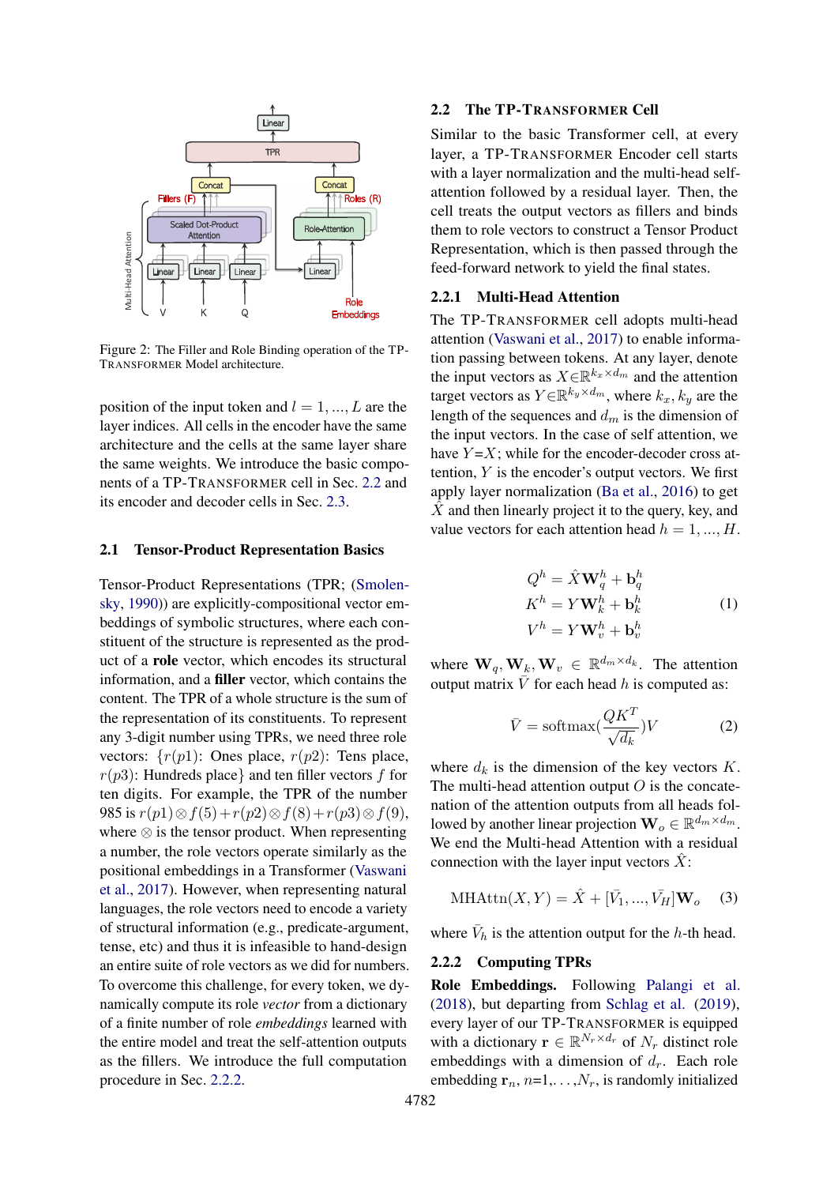<span id="page-2-0"></span>

Figure 2: The Filler and Role Binding operation of the TP-TRANSFORMER Model architecture.

position of the input token and  $l = 1, ..., L$  are the layer indices. All cells in the encoder have the same architecture and the cells at the same layer share the same weights. We introduce the basic components of a TP-TRANSFORMER cell in Sec. [2.2](#page-2-1) and its encoder and decoder cells in Sec. [2.3.](#page-3-0)

#### 2.1 Tensor-Product Representation Basics

Tensor-Product Representations (TPR; [\(Smolen](#page-11-1)[sky,](#page-11-1) [1990\)](#page-11-1)) are explicitly-compositional vector embeddings of symbolic structures, where each constituent of the structure is represented as the product of a role vector, which encodes its structural information, and a filler vector, which contains the content. The TPR of a whole structure is the sum of the representation of its constituents. To represent any 3-digit number using TPRs, we need three role vectors:  $\{r(p1): \text{ones place}, r(p2): \text{Tens place}, \}$  $r(p3)$ : Hundreds place} and ten filler vectors f for ten digits. For example, the TPR of the number 985 is  $r(p1) \otimes f(5) + r(p2) \otimes f(8) + r(p3) \otimes f(9)$ , where ⊗ is the tensor product. When representing a number, the role vectors operate similarly as the positional embeddings in a Transformer [\(Vaswani](#page-11-0) [et al.,](#page-11-0) [2017\)](#page-11-0). However, when representing natural languages, the role vectors need to encode a variety of structural information (e.g., predicate-argument, tense, etc) and thus it is infeasible to hand-design an entire suite of role vectors as we did for numbers. To overcome this challenge, for every token, we dynamically compute its role *vector* from a dictionary of a finite number of role *embeddings* learned with the entire model and treat the self-attention outputs as the fillers. We introduce the full computation procedure in Sec. [2.2.2.](#page-2-2)

### <span id="page-2-1"></span>2.2 The TP-TRANSFORMER Cell

Role-Attention  $\mathbf{P}$  them to role vectors to construct a Tensor Product Linear  $\parallel$  | feed-forward network to yield the final states. TPR layer, a TP-TRANSFORMER Encoder cell starts Fillers (F)  $\uparrow$  Roles (R) attention followed by a residual layer. Then, the Similar to the basic Transformer cell, at every with a layer normalization and the multi-head selfcell treats the output vectors as fillers and binds Representation, which is then passed through the

## $R_{\text{Ole}}$  2.2.1 Multi-Head Attention

V K Q Embeddings The TP-TRANSFORMER cell adopts multi-head attention [\(Vaswani et al.,](#page-11-0) [2017\)](#page-11-0) to enable information passing between tokens. At any layer, denote the input vectors as  $X \in \mathbb{R}^{k_x \times d_m}$  and the attention target vectors as  $Y \in \mathbb{R}^{k_y \times d_m}$ , where  $k_x, k_y$  are the length of the sequences and  $d_m$  is the dimension of the input vectors. In the case of self attention, we have  $Y = X$ ; while for the encoder-decoder cross attention,  $Y$  is the encoder's output vectors. We first apply layer normalization [\(Ba et al.,](#page-9-3) [2016\)](#page-9-3) to get  $\hat{X}$  and then linearly project it to the query, key, and value vectors for each attention head  $h = 1, ..., H$ .

$$
Q^{h} = \hat{X}\mathbf{W}_{q}^{h} + \mathbf{b}_{q}^{h}
$$
  
\n
$$
K^{h} = Y\mathbf{W}_{k}^{h} + \mathbf{b}_{k}^{h}
$$
  
\n
$$
V^{h} = Y\mathbf{W}_{v}^{h} + \mathbf{b}_{v}^{h}
$$
\n(1)

where  $\mathbf{W}_q, \mathbf{W}_k, \mathbf{W}_v \in \mathbb{R}^{d_m \times d_k}$ . The attention output matrix  $\overline{V}$  for each head h is computed as:

<span id="page-2-3"></span>
$$
\bar{V} = \text{softmax}(\frac{QK^T}{\sqrt{d_k}})V\tag{2}
$$

where  $d_k$  is the dimension of the key vectors  $K$ . The multi-head attention output  $O$  is the concatenation of the attention outputs from all heads followed by another linear projection  $\mathbf{W}_o \in \mathbb{R}^{d_m \times d_m}$ . We end the Multi-head Attention with a residual connection with the layer input vectors  $\hat{X}$ :

$$
\text{MHAttn}(X, Y) = \hat{X} + [\bar{V}_1, ..., \bar{V}_H] \mathbf{W}_o \quad (3)
$$

where  $\bar{V}_h$  is the attention output for the h-th head.

#### <span id="page-2-2"></span>2.2.2 Computing TPRs

Role Embeddings. Following [Palangi et al.](#page-10-1) [\(2018\)](#page-10-1), but departing from [Schlag et al.](#page-10-0) [\(2019\)](#page-10-0), every layer of our TP-TRANSFORMER is equipped with a dictionary  $\mathbf{r} \in \mathbb{R}^{N_r \times d_r}$  of  $N_r$  distinct role embeddings with a dimension of  $d_r$ . Each role embedding  $\mathbf{r}_n, n=1,\ldots,N_r$ , is randomly initialized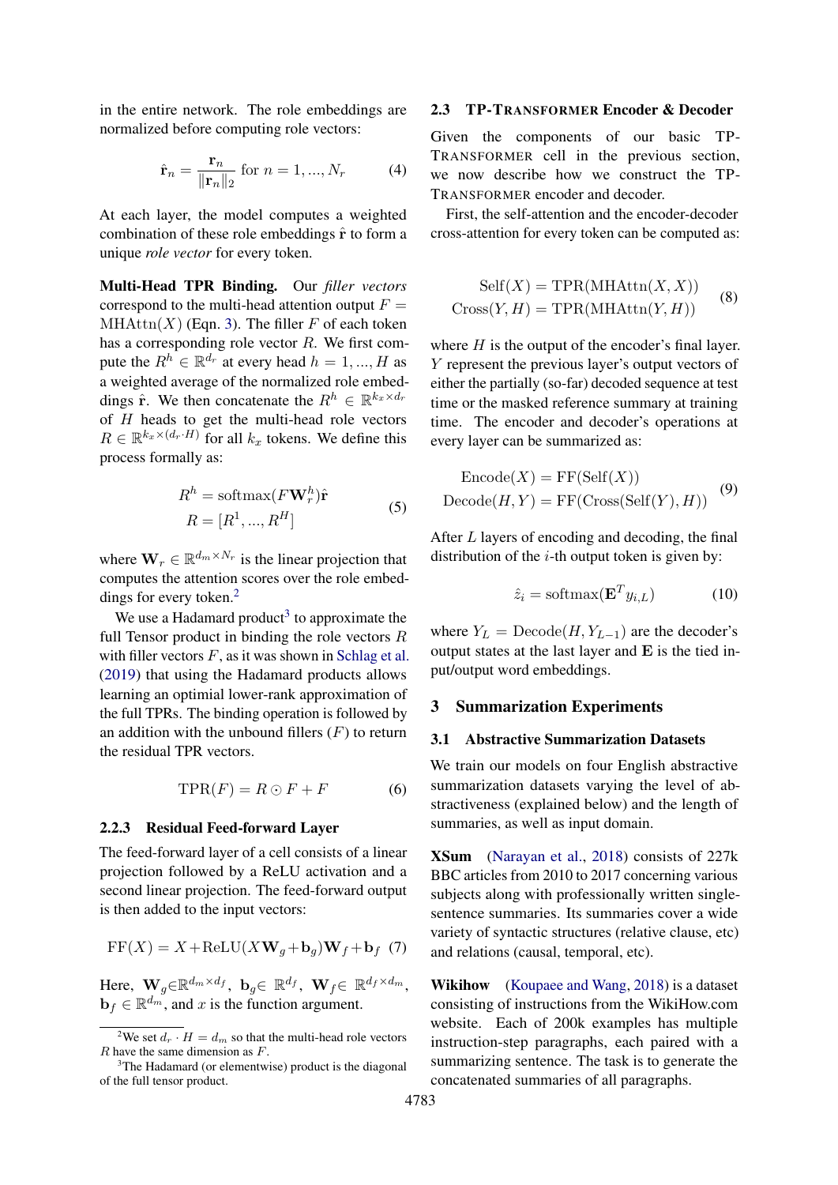in the entire network. The role embeddings are normalized before computing role vectors:

$$
\hat{\mathbf{r}}_n = \frac{\mathbf{r}_n}{\|\mathbf{r}_n\|_2} \text{ for } n = 1, ..., N_r \tag{4}
$$

At each layer, the model computes a weighted combination of these role embeddings  $\hat{\mathbf{r}}$  to form a unique *role vector* for every token.

Multi-Head TPR Binding. Our *filler vectors* correspond to the multi-head attention output  $F =$  $MHAttn(X)$  (Eqn. [3\)](#page-2-3). The filler F of each token has a corresponding role vector R. We first compute the  $R^h \in \mathbb{R}^{d_r}$  at every head  $h = 1, ..., H$  as a weighted average of the normalized role embeddings  $\hat{\mathbf{r}}$ . We then concatenate the  $R^h \in \mathbb{R}^{k_x \times d_r}$ of  $H$  heads to get the multi-head role vectors  $R \in \mathbb{R}^{k_x \times (d_r \cdot H)}$  for all  $k_x$  tokens. We define this process formally as:

<span id="page-3-4"></span>
$$
R^{h} = \text{softmax}(F\mathbf{W}_{r}^{h})\hat{\mathbf{r}}
$$
  

$$
R = [R^{1}, ..., R^{H}]
$$
 (5)

where  $\mathbf{W}_r \in \mathbb{R}^{d_m \times N_r}$  is the linear projection that computes the attention scores over the role embed-dings for every token.<sup>[2](#page-3-1)</sup>

We use a Hadamard product<sup>[3](#page-3-2)</sup> to approximate the full Tensor product in binding the role vectors  $R$ with filler vectors  $F$ , as it was shown in [Schlag et al.](#page-10-0) [\(2019\)](#page-10-0) that using the Hadamard products allows learning an optimial lower-rank approximation of the full TPRs. The binding operation is followed by an addition with the unbound fillers  $(F)$  to return the residual TPR vectors.

$$
\text{TPR}(F) = R \odot F + F \tag{6}
$$

#### 2.2.3 Residual Feed-forward Layer

The feed-forward layer of a cell consists of a linear projection followed by a ReLU activation and a second linear projection. The feed-forward output is then added to the input vectors:

$$
FF(X) = X + ReLU(XW_g + b_g)W_f + b_f
$$
 (7)

Here,  $\mathbf{W}_g \in \mathbb{R}^{d_m \times d_f}$ ,  $\mathbf{b}_g \in \mathbb{R}^{d_f}$ ,  $\mathbf{W}_f \in \mathbb{R}^{d_f \times d_m}$ ,  $\mathbf{b}_f \in \mathbb{R}^{d_m}$ , and x is the function argument.

#### <span id="page-3-0"></span>2.3 TP-TRANSFORMER Encoder & Decoder

Given the components of our basic TP-TRANSFORMER cell in the previous section, we now describe how we construct the TP-TRANSFORMER encoder and decoder.

First, the self-attention and the encoder-decoder cross-attention for every token can be computed as:

$$
Self(X) = TPR(MHAttn(X, X))
$$
  
Cross(Y, H) = TPR(MHAttn(Y, H)) (8)

where  $H$  is the output of the encoder's final layer. Y represent the previous layer's output vectors of either the partially (so-far) decoded sequence at test time or the masked reference summary at training time. The encoder and decoder's operations at every layer can be summarized as:

$$
\begin{aligned} \text{Encode}(X) &= \text{FF}(\text{Self}(X)) \\ \text{Decode}(H, Y) &= \text{FF}(\text{Cross}(\text{Self}(Y), H)) \end{aligned} \tag{9}
$$

After L layers of encoding and decoding, the final distribution of the  $i$ -th output token is given by:

$$
\hat{z}_i = \text{softmax}(\mathbf{E}^T y_{i,L})
$$
 (10)

where  $Y_L = \text{Decode}(H, Y_{L-1})$  are the decoder's output states at the last layer and  $E$  is the tied input/output word embeddings.

#### 3 Summarization Experiments

#### <span id="page-3-3"></span>3.1 Abstractive Summarization Datasets

We train our models on four English abstractive summarization datasets varying the level of abstractiveness (explained below) and the length of summaries, as well as input domain.

XSum [\(Narayan et al.,](#page-10-2) [2018\)](#page-10-2) consists of 227k BBC articles from 2010 to 2017 concerning various subjects along with professionally written singlesentence summaries. Its summaries cover a wide variety of syntactic structures (relative clause, etc) and relations (causal, temporal, etc).

Wikihow [\(Koupaee and Wang,](#page-10-3) [2018\)](#page-10-3) is a dataset consisting of instructions from the WikiHow.com website. Each of 200k examples has multiple instruction-step paragraphs, each paired with a summarizing sentence. The task is to generate the concatenated summaries of all paragraphs.

<span id="page-3-1"></span><sup>&</sup>lt;sup>2</sup>We set  $d_r \cdot H = d_m$  so that the multi-head role vectors  $R$  have the same dimension as  $F$ .

<span id="page-3-2"></span><sup>&</sup>lt;sup>3</sup>The Hadamard (or elementwise) product is the diagonal of the full tensor product.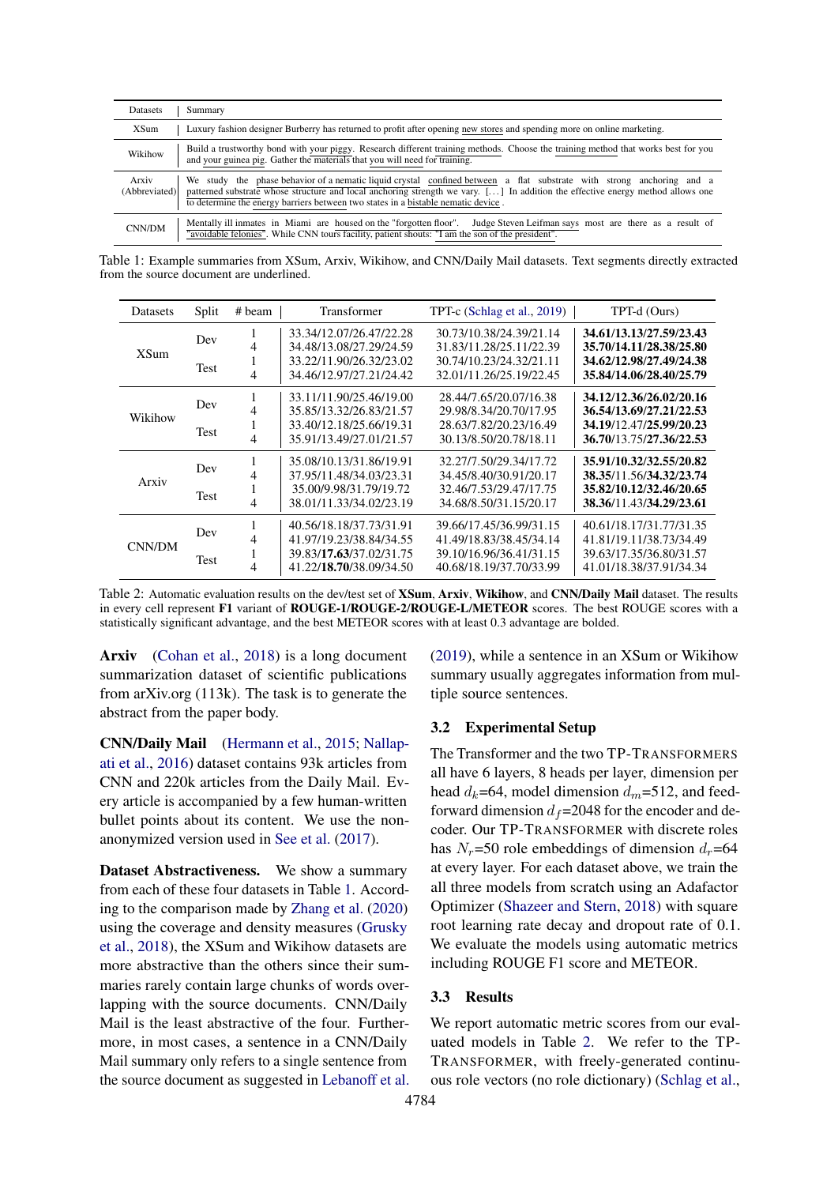<span id="page-4-0"></span>

| <b>Datasets</b>        | Summary                                                                                                                                                                                                                                                                                                                                       |
|------------------------|-----------------------------------------------------------------------------------------------------------------------------------------------------------------------------------------------------------------------------------------------------------------------------------------------------------------------------------------------|
| <b>XSum</b>            | Luxury fashion designer Burberry has returned to profit after opening new stores and spending more on online marketing.                                                                                                                                                                                                                       |
| Wikihow                | Build a trustworthy bond with your piggy. Research different training methods. Choose the training method that works best for you<br>and your guinea pig. Gather the materials that you will need for training.                                                                                                                               |
| Arxiv<br>(Abbreviated) | We study the phase behavior of a nematic liquid crystal confined between a flat substrate with strong anchoring and a<br>patterned substrate whose structure and local anchoring strength we vary. [] In addition the effective energy method allows one<br>to determine the energy barriers between two states in a bistable nematic device. |
| CNN/DM                 | Mentally ill inmates in Miami are housed on the "forgotten floor".<br>Judge Steven Leifman says most are there as a result of<br>"avoidable felonies". While CNN tours facility, patient shouts: "I am the son of the president".                                                                                                             |

Table 1: Example summaries from XSum, Arxiv, Wikihow, and CNN/Daily Mail datasets. Text segments directly extracted from the source document are underlined.

<span id="page-4-1"></span>

| <b>Datasets</b> | Split              | # beam         | <b>Transformer</b>                                                                                       | TPT-c (Schlag et al., 2019)                                                                              | TPT-d (Ours)                                                                                             |
|-----------------|--------------------|----------------|----------------------------------------------------------------------------------------------------------|----------------------------------------------------------------------------------------------------------|----------------------------------------------------------------------------------------------------------|
| <b>XSum</b>     | Dev<br><b>Test</b> | 4<br>4         | 33.34/12.07/26.47/22.28<br>34.48/13.08/27.29/24.59<br>33.22/11.90/26.32/23.02<br>34.46/12.97/27.21/24.42 | 30.73/10.38/24.39/21.14<br>31.83/11.28/25.11/22.39<br>30.74/10.23/24.32/21.11<br>32.01/11.26/25.19/22.45 | 34.61/13.13/27.59/23.43<br>35.70/14.11/28.38/25.80<br>34.62/12.98/27.49/24.38<br>35.84/14.06/28.40/25.79 |
| Wikihow         | Dev                | 4              | 33.11/11.90/25.46/19.00<br>35.85/13.32/26.83/21.57                                                       | 28.44/7.65/20.07/16.38<br>29.98/8.34/20.70/17.95                                                         | 34.12/12.36/26.02/20.16<br>36.54/13.69/27.21/22.53                                                       |
|                 | <b>Test</b>        | л.<br>4        | 33.40/12.18/25.66/19.31<br>35.91/13.49/27.01/21.57                                                       | 28.63/7.82/20.23/16.49<br>30.13/8.50/20.78/18.11                                                         | 34.19/12.47/25.99/20.23<br>36.70/13.75/27.36/22.53                                                       |
| Arxiv           | Dev<br><b>Test</b> | 4<br>1         | 35.08/10.13/31.86/19.91<br>37.95/11.48/34.03/23.31<br>35.00/9.98/31.79/19.72                             | 32.27/7.50/29.34/17.72<br>34.45/8.40/30.91/20.17<br>32.46/7.53/29.47/17.75                               | 35.91/10.32/32.55/20.82<br>38.35/11.56/34.32/23.74<br>35.82/10.12/32.46/20.65                            |
| CNN/DM          | Dev                | $\overline{4}$ | 38.01/11.33/34.02/23.19<br>40.56/18.18/37.73/31.91                                                       | 34.68/8.50/31.15/20.17<br>39.66/17.45/36.99/31.15                                                        | 38.36/11.43/34.29/23.61<br>40.61/18.17/31.77/31.35                                                       |
|                 | <b>Test</b>        | 4<br>Ι.<br>4   | 41.97/19.23/38.84/34.55<br>39.83/17.63/37.02/31.75<br>41.22/18.70/38.09/34.50                            | 41.49/18.83/38.45/34.14<br>39.10/16.96/36.41/31.15<br>40.68/18.19/37.70/33.99                            | 41.81/19.11/38.73/34.49<br>39.63/17.35/36.80/31.57<br>41.01/18.38/37.91/34.34                            |

Table 2: Automatic evaluation results on the dev/test set of XSum, Arxiv, Wikihow, and CNN/Daily Mail dataset. The results in every cell represent F1 variant of ROUGE-1/ROUGE-2/ROUGE-L/METEOR scores. The best ROUGE scores with a statistically significant advantage, and the best METEOR scores with at least 0.3 advantage are bolded.

Arxiv [\(Cohan et al.,](#page-9-0) [2018\)](#page-9-0) is a long document summarization dataset of scientific publications from arXiv.org (113k). The task is to generate the abstract from the paper body.

CNN/Daily Mail [\(Hermann et al.,](#page-9-1) [2015;](#page-9-1) [Nallap](#page-10-4)[ati et al.,](#page-10-4) [2016\)](#page-10-4) dataset contains 93k articles from CNN and 220k articles from the Daily Mail. Every article is accompanied by a few human-written bullet points about its content. We use the nonanonymized version used in [See et al.](#page-10-7) [\(2017\)](#page-10-7).

Dataset Abstractiveness. We show a summary from each of these four datasets in Table [1.](#page-4-0) According to the comparison made by [Zhang et al.](#page-11-3) [\(2020\)](#page-11-3) using the coverage and density measures [\(Grusky](#page-9-4) [et al.,](#page-9-4) [2018\)](#page-9-4), the XSum and Wikihow datasets are more abstractive than the others since their summaries rarely contain large chunks of words overlapping with the source documents. CNN/Daily Mail is the least abstractive of the four. Furthermore, in most cases, a sentence in a CNN/Daily Mail summary only refers to a single sentence from the source document as suggested in [Lebanoff et al.](#page-10-8) [\(2019\)](#page-10-8), while a sentence in an XSum or Wikihow summary usually aggregates information from multiple source sentences.

#### 3.2 Experimental Setup

The Transformer and the two TP-TRANSFORMERS all have 6 layers, 8 heads per layer, dimension per head  $d_k$ =64, model dimension  $d_m$ =512, and feedforward dimension  $d_f$ =2048 for the encoder and decoder. Our TP-TRANSFORMER with discrete roles has  $N_r$ =50 role embeddings of dimension  $d_r$ =64 at every layer. For each dataset above, we train the all three models from scratch using an Adafactor Optimizer [\(Shazeer and Stern,](#page-10-9) [2018\)](#page-10-9) with square root learning rate decay and dropout rate of 0.1. We evaluate the models using automatic metrics including ROUGE F1 score and METEOR.

#### <span id="page-4-2"></span>3.3 Results

We report automatic metric scores from our evaluated models in Table [2.](#page-4-1) We refer to the TP-TRANSFORMER, with freely-generated continuous role vectors (no role dictionary) [\(Schlag et al.,](#page-10-0)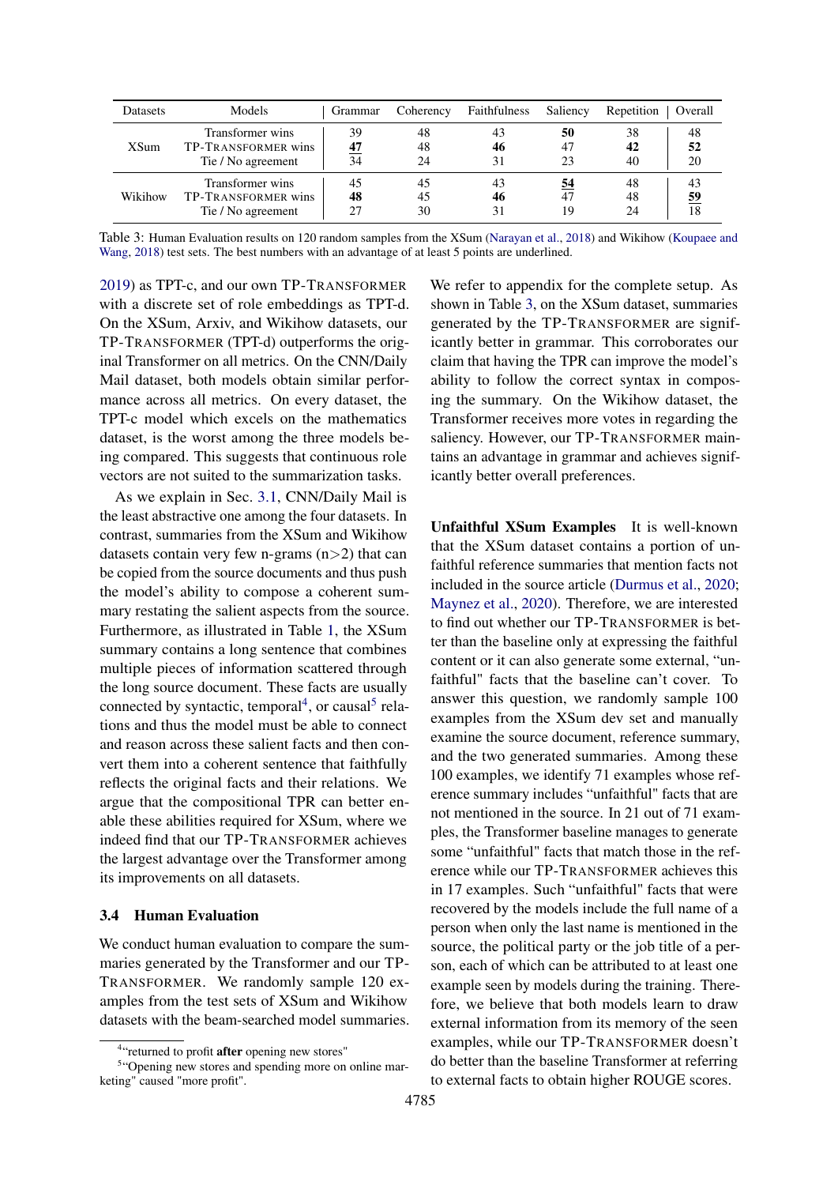<span id="page-5-2"></span>

| <b>Datasets</b> | Models                                                        | Grammar        | Coherency      | Faithfulness   | Saliency       | Repetition     | Overall        |
|-----------------|---------------------------------------------------------------|----------------|----------------|----------------|----------------|----------------|----------------|
| XSum            | Transformer wins<br>TP-TRANSFORMER wins<br>Tie / No agreement | 39<br>47<br>34 | 48<br>48<br>24 | 43<br>46<br>31 | 50<br>47<br>23 | 38<br>42<br>40 | 48<br>52<br>20 |
| Wikihow         | Transformer wins<br>TP-TRANSFORMER wins<br>Tie / No agreement | 45<br>48       | 45<br>45<br>30 | 43<br>46<br>31 | 54<br>47<br>19 | 48<br>48<br>24 | 43<br>59<br>18 |

Table 3: Human Evaluation results on 120 random samples from the XSum [\(Narayan et al.,](#page-10-2) [2018\)](#page-10-2) and Wikihow [\(Koupaee and](#page-10-3) [Wang,](#page-10-3) [2018\)](#page-10-3) test sets. The best numbers with an advantage of at least 5 points are underlined.

[2019\)](#page-10-0) as TPT-c, and our own TP-TRANSFORMER with a discrete set of role embeddings as TPT-d. On the XSum, Arxiv, and Wikihow datasets, our TP-TRANSFORMER (TPT-d) outperforms the original Transformer on all metrics. On the CNN/Daily Mail dataset, both models obtain similar performance across all metrics. On every dataset, the TPT-c model which excels on the mathematics dataset, is the worst among the three models being compared. This suggests that continuous role vectors are not suited to the summarization tasks.

As we explain in Sec. [3.1,](#page-3-3) CNN/Daily Mail is the least abstractive one among the four datasets. In contrast, summaries from the XSum and Wikihow datasets contain very few n-grams  $(n>2)$  that can be copied from the source documents and thus push the model's ability to compose a coherent summary restating the salient aspects from the source. Furthermore, as illustrated in Table [1,](#page-4-0) the XSum summary contains a long sentence that combines multiple pieces of information scattered through the long source document. These facts are usually connected by syntactic, temporal<sup>[4](#page-5-0)</sup>, or causal<sup>[5](#page-5-1)</sup> relations and thus the model must be able to connect and reason across these salient facts and then convert them into a coherent sentence that faithfully reflects the original facts and their relations. We argue that the compositional TPR can better enable these abilities required for XSum, where we indeed find that our TP-TRANSFORMER achieves the largest advantage over the Transformer among its improvements on all datasets.

### 3.4 Human Evaluation

We conduct human evaluation to compare the summaries generated by the Transformer and our TP-TRANSFORMER. We randomly sample 120 examples from the test sets of XSum and Wikihow datasets with the beam-searched model summaries. We refer to appendix for the complete setup. As shown in Table [3,](#page-5-2) on the XSum dataset, summaries generated by the TP-TRANSFORMER are significantly better in grammar. This corroborates our claim that having the TPR can improve the model's ability to follow the correct syntax in composing the summary. On the Wikihow dataset, the Transformer receives more votes in regarding the saliency. However, our TP-TRANSFORMER maintains an advantage in grammar and achieves significantly better overall preferences.

Unfaithful XSum Examples It is well-known that the XSum dataset contains a portion of unfaithful reference summaries that mention facts not included in the source article [\(Durmus et al.,](#page-9-5) [2020;](#page-9-5) [Maynez et al.,](#page-10-10) [2020\)](#page-10-10). Therefore, we are interested to find out whether our TP-TRANSFORMER is better than the baseline only at expressing the faithful content or it can also generate some external, "unfaithful" facts that the baseline can't cover. To answer this question, we randomly sample 100 examples from the XSum dev set and manually examine the source document, reference summary, and the two generated summaries. Among these 100 examples, we identify 71 examples whose reference summary includes "unfaithful" facts that are not mentioned in the source. In 21 out of 71 examples, the Transformer baseline manages to generate some "unfaithful" facts that match those in the reference while our TP-TRANSFORMER achieves this in 17 examples. Such "unfaithful" facts that were recovered by the models include the full name of a person when only the last name is mentioned in the source, the political party or the job title of a person, each of which can be attributed to at least one example seen by models during the training. Therefore, we believe that both models learn to draw external information from its memory of the seen examples, while our TP-TRANSFORMER doesn't do better than the baseline Transformer at referring to external facts to obtain higher ROUGE scores.

<span id="page-5-1"></span><span id="page-5-0"></span><sup>&</sup>lt;sup>4</sup>"returned to profit after opening new stores"

<sup>&</sup>lt;sup>5</sup>"Opening new stores and spending more on online marketing" caused "more profit".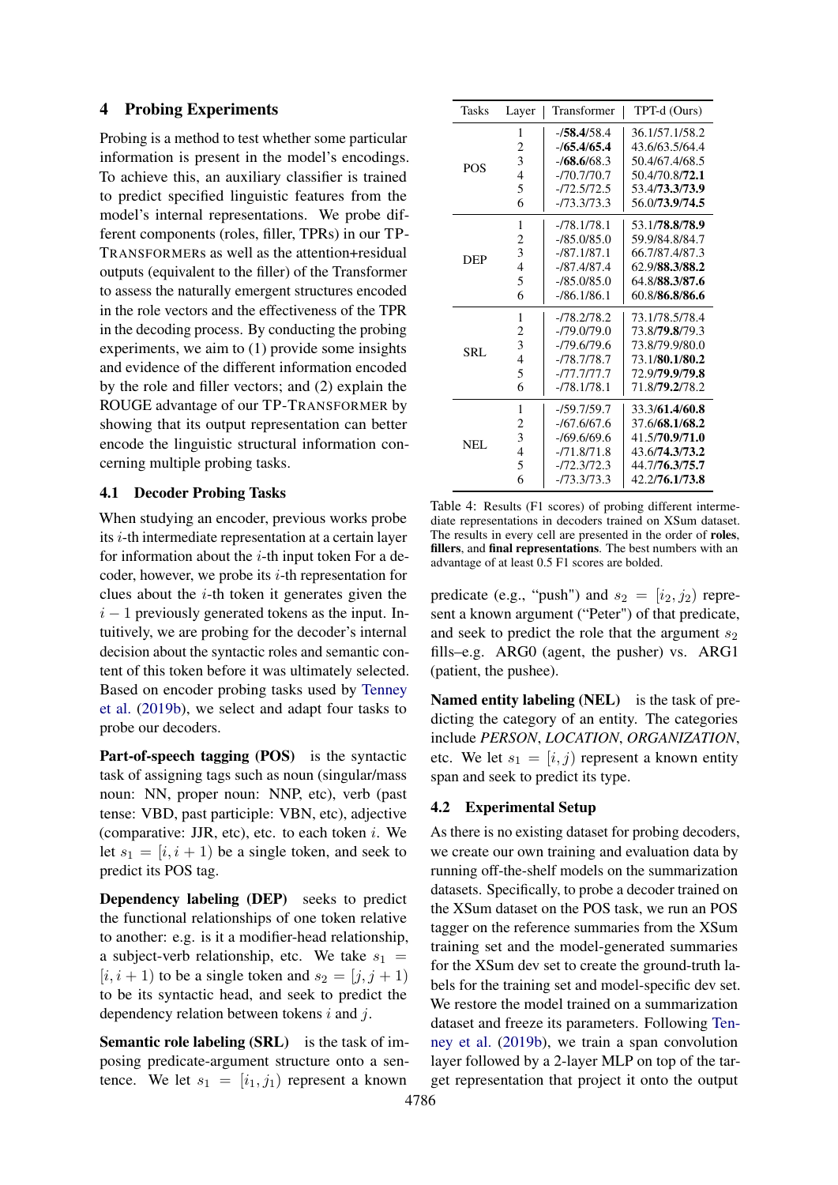#### 4 Probing Experiments

Probing is a method to test whether some particular information is present in the model's encodings. To achieve this, an auxiliary classifier is trained to predict specified linguistic features from the model's internal representations. We probe different components (roles, filler, TPRs) in our TP-TRANSFORMERs as well as the attention+residual outputs (equivalent to the filler) of the Transformer to assess the naturally emergent structures encoded in the role vectors and the effectiveness of the TPR in the decoding process. By conducting the probing experiments, we aim to (1) provide some insights and evidence of the different information encoded by the role and filler vectors; and (2) explain the ROUGE advantage of our TP-TRANSFORMER by showing that its output representation can better encode the linguistic structural information concerning multiple probing tasks.

### 4.1 Decoder Probing Tasks

When studying an encoder, previous works probe its i-th intermediate representation at a certain layer for information about the  $i$ -th input token For a decoder, however, we probe its  $i$ -th representation for clues about the  $i$ -th token it generates given the  $i - 1$  previously generated tokens as the input. Intuitively, we are probing for the decoder's internal decision about the syntactic roles and semantic content of this token before it was ultimately selected. Based on encoder probing tasks used by [Tenney](#page-11-2) [et al.](#page-11-2) [\(2019b\)](#page-11-2), we select and adapt four tasks to probe our decoders.

Part-of-speech tagging (POS) is the syntactic task of assigning tags such as noun (singular/mass noun: NN, proper noun: NNP, etc), verb (past tense: VBD, past participle: VBN, etc), adjective (comparative: JJR, etc), etc. to each token  $i$ . We let  $s_1 = [i, i + 1)$  be a single token, and seek to predict its POS tag.

Dependency labeling (DEP) seeks to predict the functional relationships of one token relative to another: e.g. is it a modifier-head relationship, a subject-verb relationship, etc. We take  $s_1 =$  $[i, i + 1]$  to be a single token and  $s_2 = [j, j + 1]$ to be its syntactic head, and seek to predict the dependency relation between tokens i and j.

Semantic role labeling (SRL) is the task of imposing predicate-argument structure onto a sentence. We let  $s_1 = [i_1, j_1)$  represent a known

<span id="page-6-0"></span>

| Tasks      | Layer          | Transformer   | TPT-d (Ours)   |
|------------|----------------|---------------|----------------|
|            | 1              | $-158.4/58.4$ | 36.1/57.1/58.2 |
|            | $\overline{c}$ | $-165.4/65.4$ | 43.6/63.5/64.4 |
|            | 3              | $-168.6/68.3$ | 50.4/67.4/68.5 |
| <b>POS</b> | $\overline{4}$ | $-770.770.7$  | 50.4/70.8/72.1 |
|            | 5              | -/72.5/72.5   | 53.4/73.3/73.9 |
|            | 6              | $-173.3173.3$ | 56.0/73.9/74.5 |
|            | 1              | $-78.178.1$   | 53.1/78.8/78.9 |
|            | $\overline{c}$ | $-185.0185.0$ | 59.9/84.8/84.7 |
| <b>DEP</b> | 3              | $-187.1/87.1$ | 66.7/87.4/87.3 |
|            | 4              | $-187.4187.4$ | 62.9/88.3/88.2 |
|            | 5              | $-185.0185.0$ | 64.8/88.3/87.6 |
|            | 6              | $-186.1/86.1$ | 60.8/86.8/86.6 |
|            | 1              | -/78.2/78.2   | 73.1/78.5/78.4 |
|            | $\overline{c}$ | -/79.0/79.0   | 73.8/79.8/79.3 |
| SRL        | 3              | $-79.679.6$   | 73.8/79.9/80.0 |
|            | $\overline{4}$ | $-78.778.7$   | 73.1/80.1/80.2 |
|            | 5              | -/77.7/77.7   | 72.9/79.9/79.8 |
|            | 6              | $-78.178.1$   | 71.8/79.2/78.2 |
|            | 1              | -/59.7/59.7   | 33.3/61.4/60.8 |
|            | 2              | $-167.6167.6$ | 37.6/68.1/68.2 |
| NEL.       | 3              | $-169.6169.6$ | 41.5/70.9/71.0 |
|            | $\overline{4}$ | $-71.871.8$   | 43.6/74.3/73.2 |
|            | 5              | $-172.3172.3$ | 44.7/76.3/75.7 |
|            | 6              | $-173.3173.3$ | 42.2/76.1/73.8 |

Table 4: Results (F1 scores) of probing different intermediate representations in decoders trained on XSum dataset. The results in every cell are presented in the order of roles, fillers, and final representations. The best numbers with an advantage of at least 0.5 F1 scores are bolded.

predicate (e.g., "push") and  $s_2 = [i_2, j_2)$  represent a known argument ("Peter") of that predicate, and seek to predict the role that the argument  $s_2$ fills–e.g. ARG0 (agent, the pusher) vs. ARG1 (patient, the pushee).

Named entity labeling (NEL) is the task of predicting the category of an entity. The categories include *PERSON*, *LOCATION*, *ORGANIZATION*, etc. We let  $s_1 = [i, j)$  represent a known entity span and seek to predict its type.

### 4.2 Experimental Setup

As there is no existing dataset for probing decoders, we create our own training and evaluation data by running off-the-shelf models on the summarization datasets. Specifically, to probe a decoder trained on the XSum dataset on the POS task, we run an POS tagger on the reference summaries from the XSum training set and the model-generated summaries for the XSum dev set to create the ground-truth labels for the training set and model-specific dev set. We restore the model trained on a summarization dataset and freeze its parameters. Following [Ten](#page-11-2)[ney et al.](#page-11-2) [\(2019b\)](#page-11-2), we train a span convolution layer followed by a 2-layer MLP on top of the target representation that project it onto the output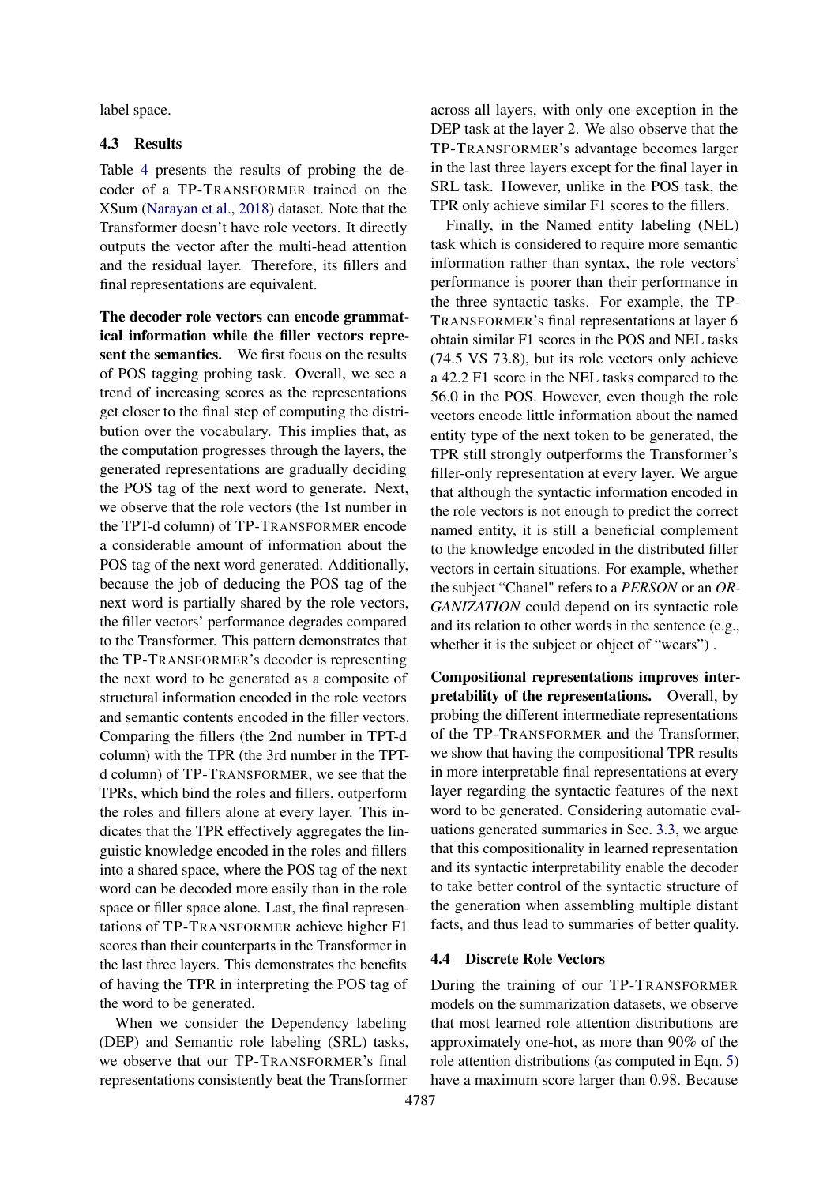label space.

### 4.3 Results

Table [4](#page-6-0) presents the results of probing the decoder of a TP-TRANSFORMER trained on the XSum [\(Narayan et al.,](#page-10-2) [2018\)](#page-10-2) dataset. Note that the Transformer doesn't have role vectors. It directly outputs the vector after the multi-head attention and the residual layer. Therefore, its fillers and final representations are equivalent.

The decoder role vectors can encode grammatical information while the filler vectors represent the semantics. We first focus on the results of POS tagging probing task. Overall, we see a trend of increasing scores as the representations get closer to the final step of computing the distribution over the vocabulary. This implies that, as the computation progresses through the layers, the generated representations are gradually deciding the POS tag of the next word to generate. Next, we observe that the role vectors (the 1st number in the TPT-d column) of TP-TRANSFORMER encode a considerable amount of information about the POS tag of the next word generated. Additionally, because the job of deducing the POS tag of the next word is partially shared by the role vectors, the filler vectors' performance degrades compared to the Transformer. This pattern demonstrates that the TP-TRANSFORMER's decoder is representing the next word to be generated as a composite of structural information encoded in the role vectors and semantic contents encoded in the filler vectors. Comparing the fillers (the 2nd number in TPT-d column) with the TPR (the 3rd number in the TPTd column) of TP-TRANSFORMER, we see that the TPRs, which bind the roles and fillers, outperform the roles and fillers alone at every layer. This indicates that the TPR effectively aggregates the linguistic knowledge encoded in the roles and fillers into a shared space, where the POS tag of the next word can be decoded more easily than in the role space or filler space alone. Last, the final representations of TP-TRANSFORMER achieve higher F1 scores than their counterparts in the Transformer in the last three layers. This demonstrates the benefits of having the TPR in interpreting the POS tag of the word to be generated.

When we consider the Dependency labeling (DEP) and Semantic role labeling (SRL) tasks, we observe that our TP-TRANSFORMER's final representations consistently beat the Transformer

across all layers, with only one exception in the DEP task at the layer 2. We also observe that the TP-TRANSFORMER's advantage becomes larger in the last three layers except for the final layer in SRL task. However, unlike in the POS task, the TPR only achieve similar F1 scores to the fillers.

Finally, in the Named entity labeling (NEL) task which is considered to require more semantic information rather than syntax, the role vectors' performance is poorer than their performance in the three syntactic tasks. For example, the TP-TRANSFORMER's final representations at layer 6 obtain similar F1 scores in the POS and NEL tasks (74.5 VS 73.8), but its role vectors only achieve a 42.2 F1 score in the NEL tasks compared to the 56.0 in the POS. However, even though the role vectors encode little information about the named entity type of the next token to be generated, the TPR still strongly outperforms the Transformer's filler-only representation at every layer. We argue that although the syntactic information encoded in the role vectors is not enough to predict the correct named entity, it is still a beneficial complement to the knowledge encoded in the distributed filler vectors in certain situations. For example, whether the subject "Chanel" refers to a *PERSON* or an *OR-GANIZATION* could depend on its syntactic role and its relation to other words in the sentence (e.g., whether it is the subject or object of "wears").

Compositional representations improves interpretability of the representations. Overall, by probing the different intermediate representations of the TP-TRANSFORMER and the Transformer, we show that having the compositional TPR results in more interpretable final representations at every layer regarding the syntactic features of the next word to be generated. Considering automatic evaluations generated summaries in Sec. [3.3,](#page-4-2) we argue that this compositionality in learned representation and its syntactic interpretability enable the decoder to take better control of the syntactic structure of the generation when assembling multiple distant facts, and thus lead to summaries of better quality.

#### 4.4 Discrete Role Vectors

During the training of our TP-TRANSFORMER models on the summarization datasets, we observe that most learned role attention distributions are approximately one-hot, as more than 90% of the role attention distributions (as computed in Eqn. [5\)](#page-3-4) have a maximum score larger than 0.98. Because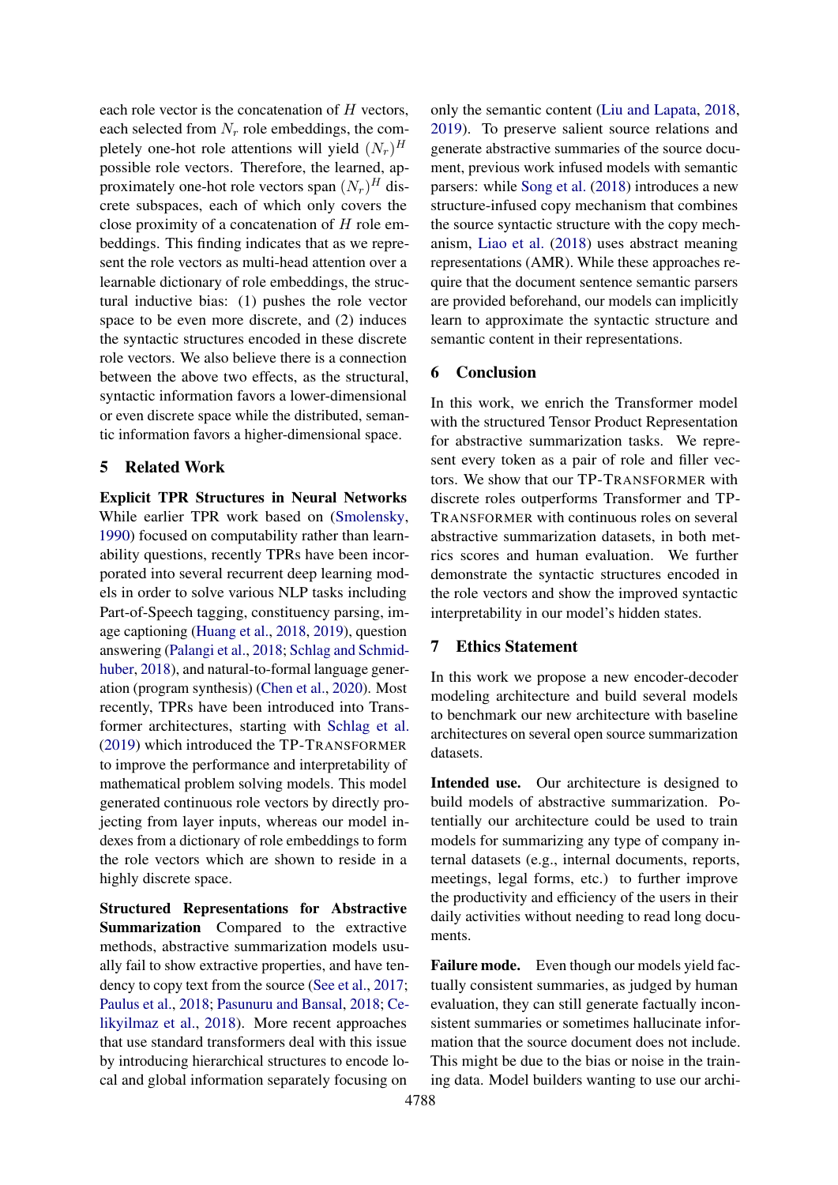each role vector is the concatenation of  $H$  vectors, each selected from  $N_r$  role embeddings, the completely one-hot role attentions will yield  $(N_r)^H$ possible role vectors. Therefore, the learned, approximately one-hot role vectors span  $(N_r)^H$  discrete subspaces, each of which only covers the close proximity of a concatenation of H role embeddings. This finding indicates that as we represent the role vectors as multi-head attention over a learnable dictionary of role embeddings, the structural inductive bias: (1) pushes the role vector space to be even more discrete, and (2) induces the syntactic structures encoded in these discrete role vectors. We also believe there is a connection between the above two effects, as the structural, syntactic information favors a lower-dimensional or even discrete space while the distributed, semantic information favors a higher-dimensional space.

### 5 Related Work

Explicit TPR Structures in Neural Networks While earlier TPR work based on [\(Smolensky,](#page-11-1) [1990\)](#page-11-1) focused on computability rather than learnability questions, recently TPRs have been incorporated into several recurrent deep learning models in order to solve various NLP tasks including Part-of-Speech tagging, constituency parsing, image captioning [\(Huang et al.,](#page-10-11) [2018,](#page-10-11) [2019\)](#page-9-6), question answering [\(Palangi et al.,](#page-10-1) [2018;](#page-10-1) [Schlag and Schmid](#page-10-12)[huber,](#page-10-12) [2018\)](#page-10-12), and natural-to-formal language generation (program synthesis) [\(Chen et al.,](#page-9-7) [2020\)](#page-9-7). Most recently, TPRs have been introduced into Transformer architectures, starting with [Schlag et al.](#page-10-0) [\(2019\)](#page-10-0) which introduced the TP-TRANSFORMER to improve the performance and interpretability of mathematical problem solving models. This model generated continuous role vectors by directly projecting from layer inputs, whereas our model indexes from a dictionary of role embeddings to form the role vectors which are shown to reside in a highly discrete space.

Structured Representations for Abstractive Summarization Compared to the extractive methods, abstractive summarization models usually fail to show extractive properties, and have tendency to copy text from the source [\(See et al.,](#page-10-7) [2017;](#page-10-7) [Paulus et al.,](#page-10-13) [2018;](#page-10-13) [Pasunuru and Bansal,](#page-10-14) [2018;](#page-10-14) [Ce](#page-9-8)[likyilmaz et al.,](#page-9-8) [2018\)](#page-9-8). More recent approaches that use standard transformers deal with this issue by introducing hierarchical structures to encode local and global information separately focusing on

only the semantic content [\(Liu and Lapata,](#page-10-15) [2018,](#page-10-15) [2019\)](#page-10-16). To preserve salient source relations and generate abstractive summaries of the source document, previous work infused models with semantic parsers: while [Song et al.](#page-11-4) [\(2018\)](#page-11-4) introduces a new structure-infused copy mechanism that combines the source syntactic structure with the copy mechanism, [Liao et al.](#page-10-17) [\(2018\)](#page-10-17) uses abstract meaning representations (AMR). While these approaches require that the document sentence semantic parsers are provided beforehand, our models can implicitly learn to approximate the syntactic structure and semantic content in their representations.

#### 6 Conclusion

In this work, we enrich the Transformer model with the structured Tensor Product Representation for abstractive summarization tasks. We represent every token as a pair of role and filler vectors. We show that our TP-TRANSFORMER with discrete roles outperforms Transformer and TP-TRANSFORMER with continuous roles on several abstractive summarization datasets, in both metrics scores and human evaluation. We further demonstrate the syntactic structures encoded in the role vectors and show the improved syntactic interpretability in our model's hidden states.

#### 7 Ethics Statement

In this work we propose a new encoder-decoder modeling architecture and build several models to benchmark our new architecture with baseline architectures on several open source summarization datasets.

Intended use. Our architecture is designed to build models of abstractive summarization. Potentially our architecture could be used to train models for summarizing any type of company internal datasets (e.g., internal documents, reports, meetings, legal forms, etc.) to further improve the productivity and efficiency of the users in their daily activities without needing to read long documents.

Failure mode. Even though our models yield factually consistent summaries, as judged by human evaluation, they can still generate factually inconsistent summaries or sometimes hallucinate information that the source document does not include. This might be due to the bias or noise in the training data. Model builders wanting to use our archi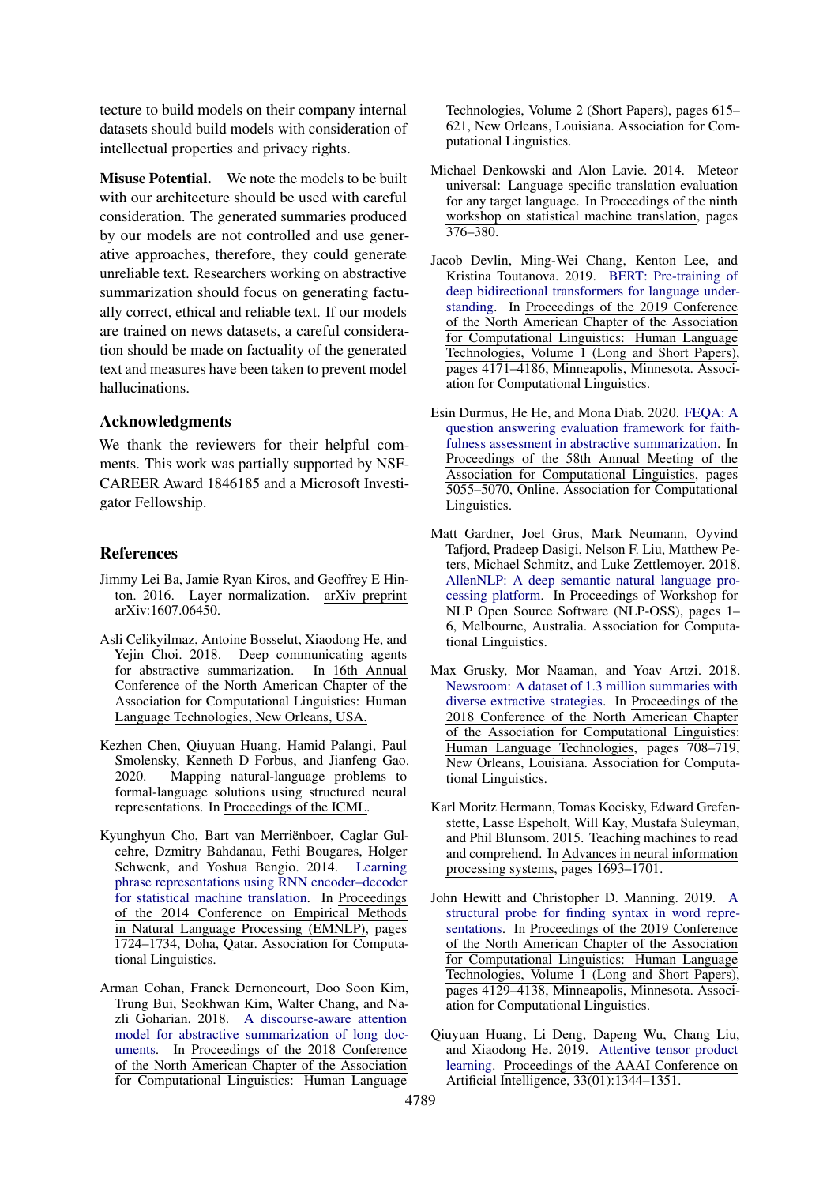tecture to build models on their company internal datasets should build models with consideration of intellectual properties and privacy rights.

Misuse Potential. We note the models to be built with our architecture should be used with careful consideration. The generated summaries produced by our models are not controlled and use generative approaches, therefore, they could generate unreliable text. Researchers working on abstractive summarization should focus on generating factually correct, ethical and reliable text. If our models are trained on news datasets, a careful consideration should be made on factuality of the generated text and measures have been taken to prevent model hallucinations.

#### Acknowledgments

We thank the reviewers for their helpful comments. This work was partially supported by NSF-CAREER Award 1846185 and a Microsoft Investigator Fellowship.

#### **References**

- <span id="page-9-3"></span>Jimmy Lei Ba, Jamie Ryan Kiros, and Geoffrey E Hinton. 2016. Layer normalization. arXiv preprint arXiv:1607.06450.
- <span id="page-9-8"></span>Asli Celikyilmaz, Antoine Bosselut, Xiaodong He, and Yejin Choi. 2018. Deep communicating agents for abstractive summarization. In 16th Annual Conference of the North American Chapter of the Association for Computational Linguistics: Human Language Technologies, New Orleans, USA.
- <span id="page-9-7"></span>Kezhen Chen, Qiuyuan Huang, Hamid Palangi, Paul Smolensky, Kenneth D Forbus, and Jianfeng Gao. 2020. Mapping natural-language problems to formal-language solutions using structured neural representations. In Proceedings of the ICML.
- <span id="page-9-11"></span>Kyunghyun Cho, Bart van Merriënboer, Caglar Gulcehre, Dzmitry Bahdanau, Fethi Bougares, Holger Schwenk, and Yoshua Bengio. 2014. [Learning](https://doi.org/10.3115/v1/D14-1179) [phrase representations using RNN encoder–decoder](https://doi.org/10.3115/v1/D14-1179) [for statistical machine translation.](https://doi.org/10.3115/v1/D14-1179) In Proceedings of the 2014 Conference on Empirical Methods in Natural Language Processing (EMNLP), pages 1724–1734, Doha, Qatar. Association for Computational Linguistics.
- <span id="page-9-0"></span>Arman Cohan, Franck Dernoncourt, Doo Soon Kim, Trung Bui, Seokhwan Kim, Walter Chang, and Nazli Goharian. 2018. [A discourse-aware attention](https://doi.org/10.18653/v1/N18-2097) [model for abstractive summarization of long doc](https://doi.org/10.18653/v1/N18-2097)[uments.](https://doi.org/10.18653/v1/N18-2097) In Proceedings of the 2018 Conference of the North American Chapter of the Association for Computational Linguistics: Human Language

Technologies, Volume 2 (Short Papers), pages 615– 621, New Orleans, Louisiana. Association for Computational Linguistics.

- <span id="page-9-2"></span>Michael Denkowski and Alon Lavie. 2014. Meteor universal: Language specific translation evaluation for any target language. In Proceedings of the ninth workshop on statistical machine translation, pages 376–380.
- <span id="page-9-9"></span>Jacob Devlin, Ming-Wei Chang, Kenton Lee, and Kristina Toutanova. 2019. [BERT: Pre-training of](https://doi.org/10.18653/v1/N19-1423) [deep bidirectional transformers for language under](https://doi.org/10.18653/v1/N19-1423)[standing.](https://doi.org/10.18653/v1/N19-1423) In Proceedings of the 2019 Conference of the North American Chapter of the Association for Computational Linguistics: Human Language Technologies, Volume 1 (Long and Short Papers), pages 4171–4186, Minneapolis, Minnesota. Association for Computational Linguistics.
- <span id="page-9-5"></span>Esin Durmus, He He, and Mona Diab. 2020. [FEQA: A](https://doi.org/10.18653/v1/2020.acl-main.454) [question answering evaluation framework for faith](https://doi.org/10.18653/v1/2020.acl-main.454)[fulness assessment in abstractive summarization.](https://doi.org/10.18653/v1/2020.acl-main.454) In Proceedings of the 58th Annual Meeting of the Association for Computational Linguistics, pages 5055–5070, Online. Association for Computational Linguistics.
- <span id="page-9-10"></span>Matt Gardner, Joel Grus, Mark Neumann, Oyvind Tafjord, Pradeep Dasigi, Nelson F. Liu, Matthew Peters, Michael Schmitz, and Luke Zettlemoyer. 2018. [AllenNLP: A deep semantic natural language pro](https://doi.org/10.18653/v1/W18-2501)[cessing platform.](https://doi.org/10.18653/v1/W18-2501) In Proceedings of Workshop for NLP Open Source Software (NLP-OSS), pages 1– 6, Melbourne, Australia. Association for Computational Linguistics.
- <span id="page-9-4"></span>Max Grusky, Mor Naaman, and Yoav Artzi. 2018. [Newsroom: A dataset of 1.3 million summaries with](http://aclweb.org/anthology/N18-1065) [diverse extractive strategies.](http://aclweb.org/anthology/N18-1065) In Proceedings of the 2018 Conference of the North American Chapter of the Association for Computational Linguistics: Human Language Technologies, pages 708–719, New Orleans, Louisiana. Association for Computational Linguistics.
- <span id="page-9-1"></span>Karl Moritz Hermann, Tomas Kocisky, Edward Grefenstette, Lasse Espeholt, Will Kay, Mustafa Suleyman, and Phil Blunsom. 2015. Teaching machines to read and comprehend. In Advances in neural information processing systems, pages 1693–1701.
- <span id="page-9-12"></span>John Hewitt and Christopher D. Manning. 2019. [A](https://doi.org/10.18653/v1/N19-1419) [structural probe for finding syntax in word repre](https://doi.org/10.18653/v1/N19-1419)[sentations.](https://doi.org/10.18653/v1/N19-1419) In Proceedings of the 2019 Conference of the North American Chapter of the Association for Computational Linguistics: Human Language Technologies, Volume 1 (Long and Short Papers), pages 4129–4138, Minneapolis, Minnesota. Association for Computational Linguistics.
- <span id="page-9-6"></span>Qiuyuan Huang, Li Deng, Dapeng Wu, Chang Liu, and Xiaodong He. 2019. [Attentive tensor product](https://doi.org/10.1609/aaai.v33i01.33011344) [learning.](https://doi.org/10.1609/aaai.v33i01.33011344) Proceedings of the AAAI Conference on Artificial Intelligence, 33(01):1344–1351.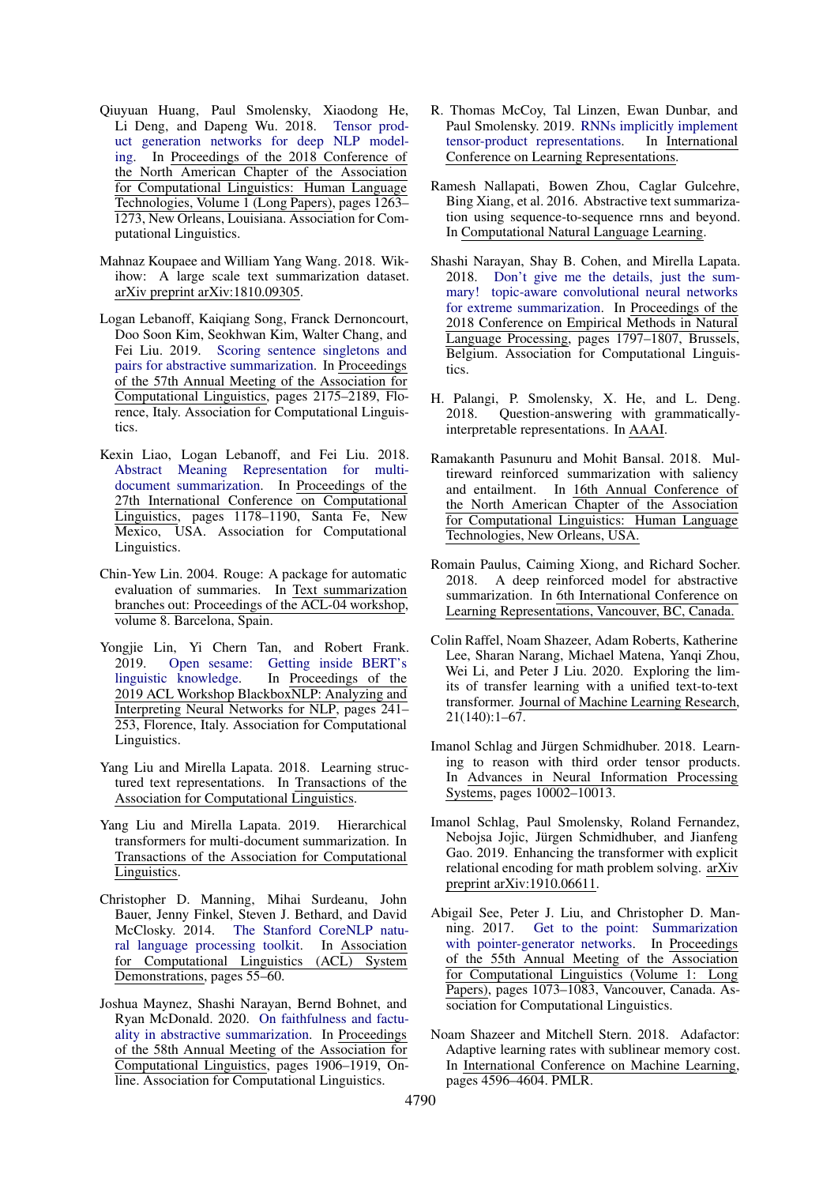- <span id="page-10-11"></span>Qiuyuan Huang, Paul Smolensky, Xiaodong He, Li Deng, and Dapeng Wu. 2018. [Tensor prod](https://doi.org/10.18653/v1/N18-1114)[uct generation networks for deep NLP model](https://doi.org/10.18653/v1/N18-1114)[ing.](https://doi.org/10.18653/v1/N18-1114) In Proceedings of the 2018 Conference of the North American Chapter of the Association for Computational Linguistics: Human Language Technologies, Volume 1 (Long Papers), pages 1263– 1273, New Orleans, Louisiana. Association for Computational Linguistics.
- <span id="page-10-3"></span>Mahnaz Koupaee and William Yang Wang. 2018. Wikihow: A large scale text summarization dataset. arXiv preprint arXiv:1810.09305.
- <span id="page-10-8"></span>Logan Lebanoff, Kaiqiang Song, Franck Dernoncourt, Doo Soon Kim, Seokhwan Kim, Walter Chang, and Fei Liu. 2019. [Scoring sentence singletons and](https://doi.org/10.18653/v1/P19-1209) [pairs for abstractive summarization.](https://doi.org/10.18653/v1/P19-1209) In Proceedings of the 57th Annual Meeting of the Association for Computational Linguistics, pages 2175–2189, Florence, Italy. Association for Computational Linguistics.
- <span id="page-10-17"></span>Kexin Liao, Logan Lebanoff, and Fei Liu. 2018. [Abstract Meaning Representation for multi](https://www.aclweb.org/anthology/C18-1101)[document summarization.](https://www.aclweb.org/anthology/C18-1101) In Proceedings of the 27th International Conference on Computational Linguistics, pages 1178–1190, Santa Fe, New Mexico, USA. Association for Computational Linguistics.
- <span id="page-10-5"></span>Chin-Yew Lin. 2004. Rouge: A package for automatic evaluation of summaries. In Text summarization branches out: Proceedings of the ACL-04 workshop, volume 8. Barcelona, Spain.
- <span id="page-10-20"></span>Yongjie Lin, Yi Chern Tan, and Robert Frank. 2019. [Open sesame: Getting inside BERT's](https://doi.org/10.18653/v1/W19-4825) [linguistic knowledge.](https://doi.org/10.18653/v1/W19-4825) In Proceedings of the 2019 ACL Workshop BlackboxNLP: Analyzing and Interpreting Neural Networks for NLP, pages 241– 253, Florence, Italy. Association for Computational Linguistics.
- <span id="page-10-15"></span>Yang Liu and Mirella Lapata. 2018. Learning structured text representations. In Transactions of the Association for Computational Linguistics.
- <span id="page-10-16"></span>Yang Liu and Mirella Lapata. 2019. Hierarchical transformers for multi-document summarization. In Transactions of the Association for Computational Linguistics.
- <span id="page-10-18"></span>Christopher D. Manning, Mihai Surdeanu, John Bauer, Jenny Finkel, Steven J. Bethard, and David McClosky. 2014. [The Stanford CoreNLP natu](http://www.aclweb.org/anthology/P/P14/P14-5010)[ral language processing toolkit.](http://www.aclweb.org/anthology/P/P14/P14-5010) In Association for Computational Linguistics (ACL) System Demonstrations, pages 55–60.
- <span id="page-10-10"></span>Joshua Maynez, Shashi Narayan, Bernd Bohnet, and Ryan McDonald. 2020. [On faithfulness and factu](https://doi.org/10.18653/v1/2020.acl-main.173)[ality in abstractive summarization.](https://doi.org/10.18653/v1/2020.acl-main.173) In Proceedings of the 58th Annual Meeting of the Association for Computational Linguistics, pages 1906–1919, Online. Association for Computational Linguistics.
- <span id="page-10-19"></span>R. Thomas McCoy, Tal Linzen, Ewan Dunbar, and Paul Smolensky. 2019. [RNNs implicitly implement](https://openreview.net/forum?id=BJx0sjC5FX) [tensor-product representations.](https://openreview.net/forum?id=BJx0sjC5FX) In International Conference on Learning Representations.
- <span id="page-10-4"></span>Ramesh Nallapati, Bowen Zhou, Caglar Gulcehre, Bing Xiang, et al. 2016. Abstractive text summarization using sequence-to-sequence rnns and beyond. In Computational Natural Language Learning.
- <span id="page-10-2"></span>Shashi Narayan, Shay B. Cohen, and Mirella Lapata. 2018. [Don't give me the details, just the sum](https://doi.org/10.18653/v1/D18-1206)[mary! topic-aware convolutional neural networks](https://doi.org/10.18653/v1/D18-1206) [for extreme summarization.](https://doi.org/10.18653/v1/D18-1206) In Proceedings of the 2018 Conference on Empirical Methods in Natural Language Processing, pages 1797–1807, Brussels, Belgium. Association for Computational Linguistics.
- <span id="page-10-1"></span>H. Palangi, P. Smolensky, X. He, and L. Deng. 2018. Question-answering with grammaticallyinterpretable representations. In AAAI.
- <span id="page-10-14"></span>Ramakanth Pasunuru and Mohit Bansal. 2018. Multireward reinforced summarization with saliency and entailment. In 16th Annual Conference of the North American Chapter of the Association for Computational Linguistics: Human Language Technologies, New Orleans, USA.
- <span id="page-10-13"></span>Romain Paulus, Caiming Xiong, and Richard Socher. 2018. A deep reinforced model for abstractive summarization. In 6th International Conference on Learning Representations, Vancouver, BC, Canada.
- <span id="page-10-6"></span>Colin Raffel, Noam Shazeer, Adam Roberts, Katherine Lee, Sharan Narang, Michael Matena, Yanqi Zhou, Wei Li, and Peter J Liu. 2020. Exploring the limits of transfer learning with a unified text-to-text transformer. Journal of Machine Learning Research, 21(140):1–67.
- <span id="page-10-12"></span>Imanol Schlag and Jürgen Schmidhuber. 2018. Learning to reason with third order tensor products. In Advances in Neural Information Processing Systems, pages 10002–10013.
- <span id="page-10-0"></span>Imanol Schlag, Paul Smolensky, Roland Fernandez, Nebojsa Jojic, Jürgen Schmidhuber, and Jianfeng Gao. 2019. Enhancing the transformer with explicit relational encoding for math problem solving. arXiv preprint arXiv:1910.06611.
- <span id="page-10-7"></span>Abigail See, Peter J. Liu, and Christopher D. Manning. 2017. [Get to the point: Summarization](https://doi.org/10.18653/v1/P17-1099) [with pointer-generator networks.](https://doi.org/10.18653/v1/P17-1099) In Proceedings of the 55th Annual Meeting of the Association for Computational Linguistics (Volume 1: Long Papers), pages 1073–1083, Vancouver, Canada. Association for Computational Linguistics.
- <span id="page-10-9"></span>Noam Shazeer and Mitchell Stern. 2018. Adafactor: Adaptive learning rates with sublinear memory cost. In International Conference on Machine Learning, pages 4596–4604. PMLR.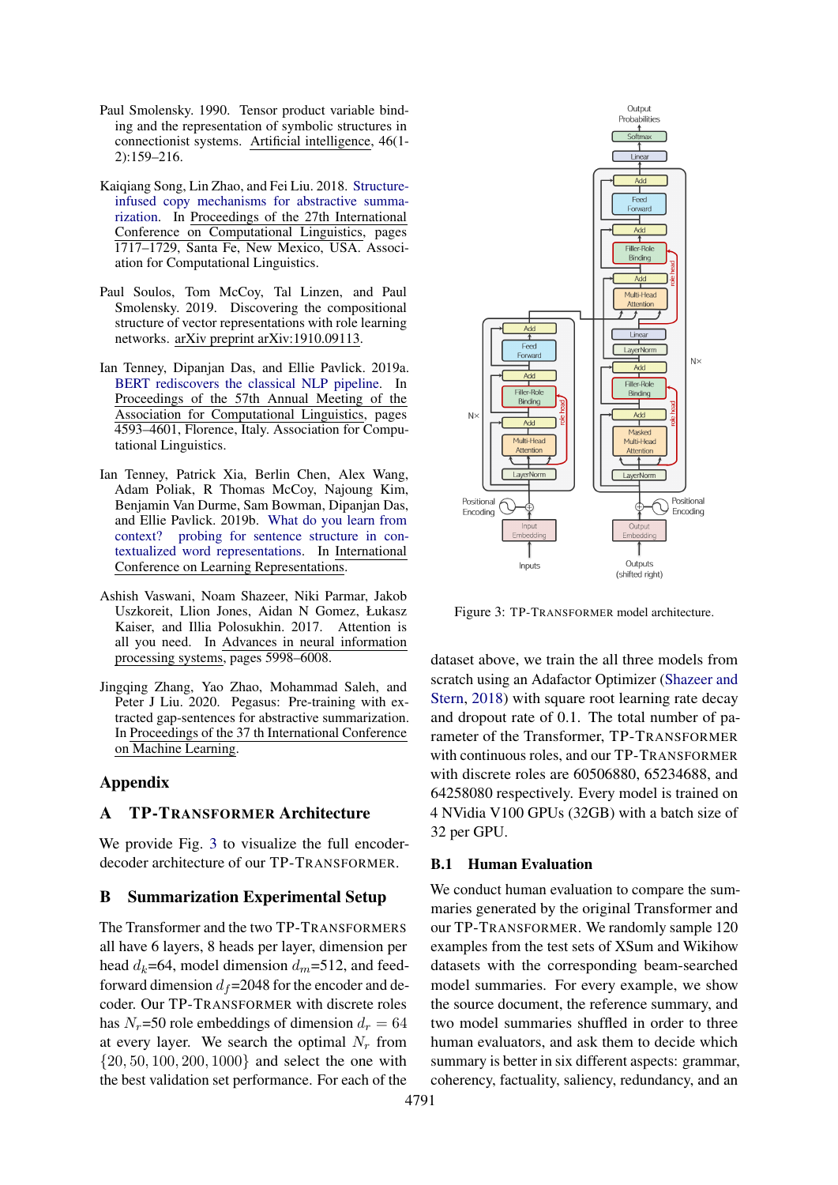- <span id="page-11-1"></span>Paul Smolensky. 1990. Tensor product variable binding and the representation of symbolic structures in connectionist systems. Artificial intelligence, 46(1- 2):159–216.
- <span id="page-11-4"></span>Kaiqiang Song, Lin Zhao, and Fei Liu. 2018. [Structure](https://www.aclweb.org/anthology/C18-1146)[infused copy mechanisms for abstractive summa](https://www.aclweb.org/anthology/C18-1146)[rization.](https://www.aclweb.org/anthology/C18-1146) In Proceedings of the 27th International Conference on Computational Linguistics, pages 1717–1729, Santa Fe, New Mexico, USA. Association for Computational Linguistics.
- <span id="page-11-6"></span>Paul Soulos, Tom McCoy, Tal Linzen, and Paul Smolensky. 2019. Discovering the compositional structure of vector representations with role learning networks. arXiv preprint arXiv:1910.09113.
- <span id="page-11-7"></span>Ian Tenney, Dipanjan Das, and Ellie Pavlick. 2019a. [BERT rediscovers the classical NLP pipeline.](https://doi.org/10.18653/v1/P19-1452) In Proceedings of the 57th Annual Meeting of the Association for Computational Linguistics, pages 4593–4601, Florence, Italy. Association for Computational Linguistics.
- <span id="page-11-2"></span>Ian Tenney, Patrick Xia, Berlin Chen, Alex Wang, Adam Poliak, R Thomas McCoy, Najoung Kim, Benjamin Van Durme, Sam Bowman, Dipanjan Das, and Ellie Pavlick. 2019b. [What do you learn from](https://openreview.net/forum?id=SJzSgnRcKX) [context? probing for sentence structure in con](https://openreview.net/forum?id=SJzSgnRcKX)[textualized word representations.](https://openreview.net/forum?id=SJzSgnRcKX) In International Conference on Learning Representations.
- <span id="page-11-0"></span>Ashish Vaswani, Noam Shazeer, Niki Parmar, Jakob Uszkoreit, Llion Jones, Aidan N Gomez, Łukasz Kaiser, and Illia Polosukhin. 2017. Attention is all you need. In Advances in neural information processing systems, pages 5998–6008.
- <span id="page-11-3"></span>Jingqing Zhang, Yao Zhao, Mohammad Saleh, and Peter J Liu. 2020. Pegasus: Pre-training with extracted gap-sentences for abstractive summarization. In Proceedings of the 37 th International Conference on Machine Learning.

### Appendix

#### A TP-TRANSFORMER Architecture

We provide Fig. [3](#page-11-5) to visualize the full encoderdecoder architecture of our TP-TRANSFORMER.

#### B Summarization Experimental Setup

The Transformer and the two TP-TRANSFORMERS all have 6 layers, 8 heads per layer, dimension per head  $d_k$ =64, model dimension  $d_m$ =512, and feedforward dimension  $d_f$ =2048 for the encoder and decoder. Our TP-TRANSFORMER with discrete roles has  $N_r$ =50 role embeddings of dimension  $d_r = 64$ at every layer. We search the optimal  $N_r$  from {20, 50, 100, 200, 1000} and select the one with the best validation set performance. For each of the

<span id="page-11-5"></span>

Figure 3: TP-TRANSFORMER model architecture.

dataset above, we train the all three models from scratch using an Adafactor Optimizer [\(Shazeer and](#page-10-9) [Stern,](#page-10-9) [2018\)](#page-10-9) with square root learning rate decay and dropout rate of 0.1. The total number of parameter of the Transformer, TP-TRANSFORMER with continuous roles, and our TP-TRANSFORMER with discrete roles are 60506880, 65234688, and 64258080 respectively. Every model is trained on 4 NVidia V100 GPUs (32GB) with a batch size of 32 per GPU.

#### B.1 Human Evaluation

We conduct human evaluation to compare the summaries generated by the original Transformer and our TP-TRANSFORMER. We randomly sample 120 examples from the test sets of XSum and Wikihow datasets with the corresponding beam-searched model summaries. For every example, we show the source document, the reference summary, and two model summaries shuffled in order to three human evaluators, and ask them to decide which summary is better in six different aspects: grammar, coherency, factuality, saliency, redundancy, and an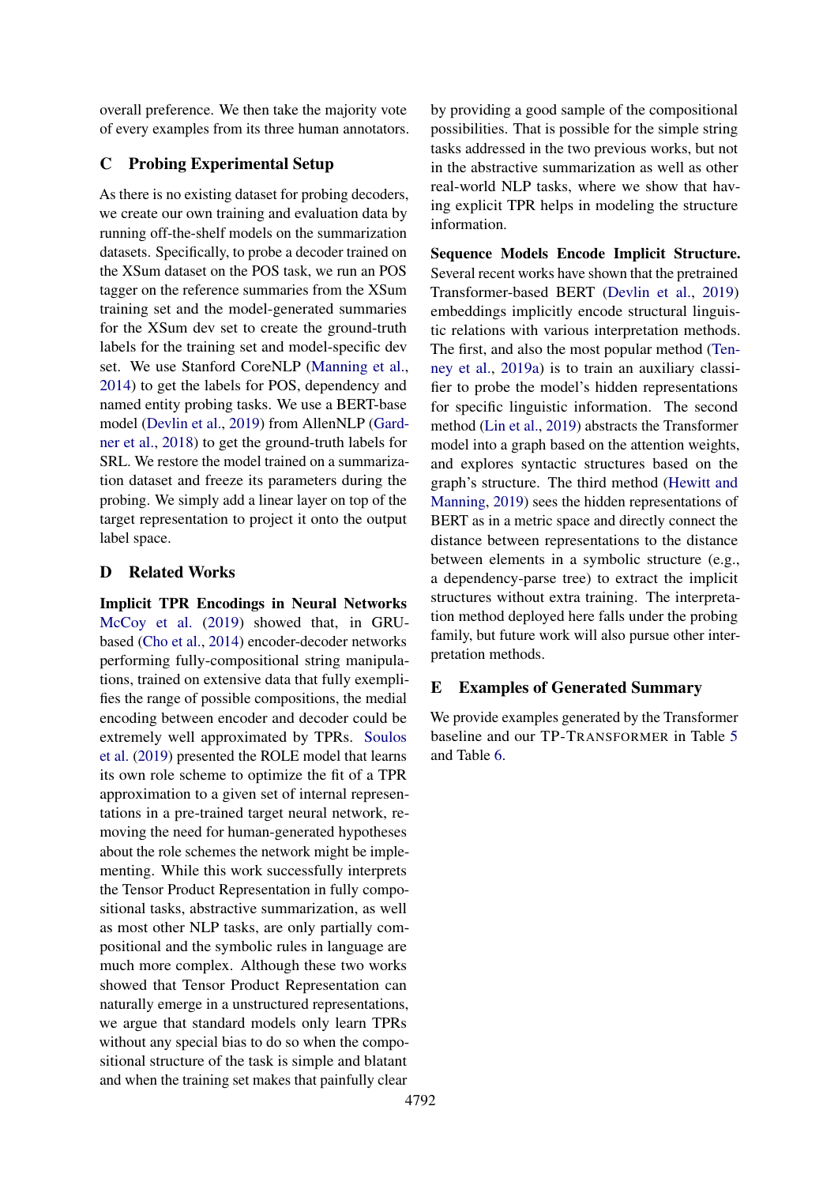overall preference. We then take the majority vote of every examples from its three human annotators.

# C Probing Experimental Setup

As there is no existing dataset for probing decoders, we create our own training and evaluation data by running off-the-shelf models on the summarization datasets. Specifically, to probe a decoder trained on the XSum dataset on the POS task, we run an POS tagger on the reference summaries from the XSum training set and the model-generated summaries for the XSum dev set to create the ground-truth labels for the training set and model-specific dev set. We use Stanford CoreNLP [\(Manning et al.,](#page-10-18) [2014\)](#page-10-18) to get the labels for POS, dependency and named entity probing tasks. We use a BERT-base model [\(Devlin et al.,](#page-9-9) [2019\)](#page-9-9) from AllenNLP [\(Gard](#page-9-10)[ner et al.,](#page-9-10) [2018\)](#page-9-10) to get the ground-truth labels for SRL. We restore the model trained on a summarization dataset and freeze its parameters during the probing. We simply add a linear layer on top of the target representation to project it onto the output label space.

# D Related Works

Implicit TPR Encodings in Neural Networks [McCoy et al.](#page-10-19) [\(2019\)](#page-10-19) showed that, in GRUbased [\(Cho et al.,](#page-9-11) [2014\)](#page-9-11) encoder-decoder networks performing fully-compositional string manipulations, trained on extensive data that fully exemplifies the range of possible compositions, the medial encoding between encoder and decoder could be extremely well approximated by TPRs. [Soulos](#page-11-6) [et al.](#page-11-6) [\(2019\)](#page-11-6) presented the ROLE model that learns its own role scheme to optimize the fit of a TPR approximation to a given set of internal representations in a pre-trained target neural network, removing the need for human-generated hypotheses about the role schemes the network might be implementing. While this work successfully interprets the Tensor Product Representation in fully compositional tasks, abstractive summarization, as well as most other NLP tasks, are only partially compositional and the symbolic rules in language are much more complex. Although these two works showed that Tensor Product Representation can naturally emerge in a unstructured representations, we argue that standard models only learn TPRs without any special bias to do so when the compositional structure of the task is simple and blatant and when the training set makes that painfully clear

by providing a good sample of the compositional possibilities. That is possible for the simple string tasks addressed in the two previous works, but not in the abstractive summarization as well as other real-world NLP tasks, where we show that having explicit TPR helps in modeling the structure information.

Sequence Models Encode Implicit Structure. Several recent works have shown that the pretrained Transformer-based BERT [\(Devlin et al.,](#page-9-9) [2019\)](#page-9-9) embeddings implicitly encode structural linguistic relations with various interpretation methods. The first, and also the most popular method [\(Ten](#page-11-7)[ney et al.,](#page-11-7) [2019a\)](#page-11-7) is to train an auxiliary classifier to probe the model's hidden representations for specific linguistic information. The second method [\(Lin et al.,](#page-10-20) [2019\)](#page-10-20) abstracts the Transformer model into a graph based on the attention weights, and explores syntactic structures based on the graph's structure. The third method [\(Hewitt and](#page-9-12) [Manning,](#page-9-12) [2019\)](#page-9-12) sees the hidden representations of BERT as in a metric space and directly connect the distance between representations to the distance between elements in a symbolic structure (e.g., a dependency-parse tree) to extract the implicit structures without extra training. The interpretation method deployed here falls under the probing family, but future work will also pursue other interpretation methods.

# E Examples of Generated Summary

We provide examples generated by the Transformer baseline and our TP-TRANSFORMER in Table [5](#page-13-0) and Table [6.](#page-13-1)